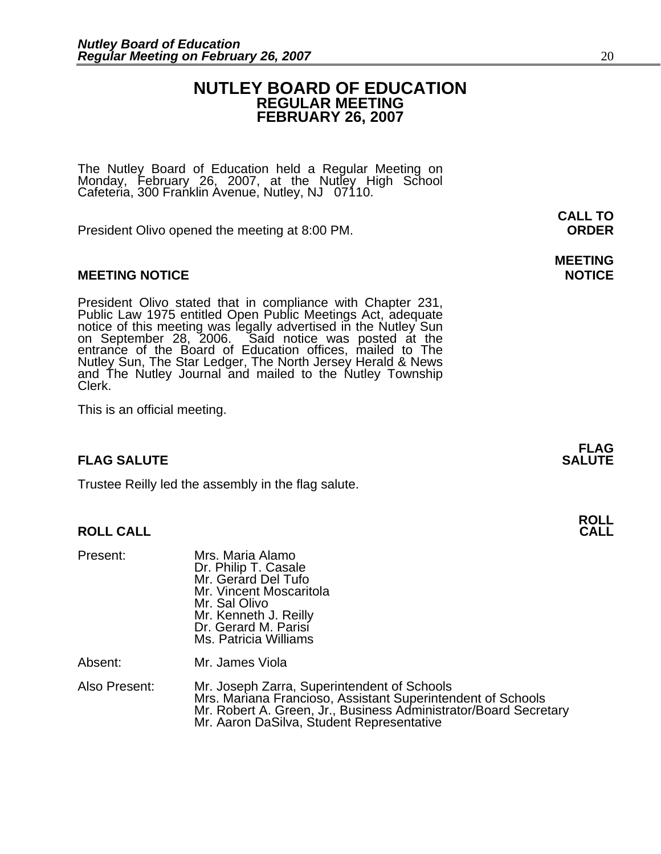# **NUTLEY BOARD OF EDUCATION REGULAR MEETING FEBRUARY 26, 2007**

The Nutley Board of Education held a Regular Meeting on Monday, February 26, 2007, at the Nutley High School Cafeteria, 300 Franklin Avenue, Nutley, NJ 07110.

President Olivo opened the meeting at 8:00 PM. **ORDER**

# **MEETING NOTICE NOTICE AND RESERVE ASSESS**

President Olivo stated that in compliance with Chapter 231,<br>Public Law 1975 entitled Open Public Meetings Act, adequate<br>notice of this meeting was legally advertised in the Nutley Sun<br>on September 28, 2006. Said notice was Nutley Sun, The Star Ledger, The North Jersey Herald & News and The Nutley Journal and mailed to the Nutley Township Clerk.

This is an official meeting.

# **FLAG SALUTE** SALUTE SALUTE SALUTE SALUTE SALUTE

Trustee Reilly led the assembly in the flag salute.

# **ROLL CALL**

| Present:      | Mrs. Maria Alamo<br>Dr. Philip T. Casale<br>Mr. Gerard Del Tufo<br>Mr. Vincent Moscaritola<br>Mr. Sal Olivo<br>Mr. Kenneth J. Reilly<br>Dr. Gerard M. Parisi<br>Ms. Patricia Williams                                       |
|---------------|-----------------------------------------------------------------------------------------------------------------------------------------------------------------------------------------------------------------------------|
| Absent:       | Mr. James Viola                                                                                                                                                                                                             |
| Also Present: | Mr. Joseph Zarra, Superintendent of Schools<br>Mrs. Mariana Francioso, Assistant Superintendent of Schools<br>Mr. Robert A. Green, Jr., Business Administrator/Board Secretary<br>Mr. Aaron DaSilva, Student Representative |

**CALL TO** 

# **MEETING**

**FLAG**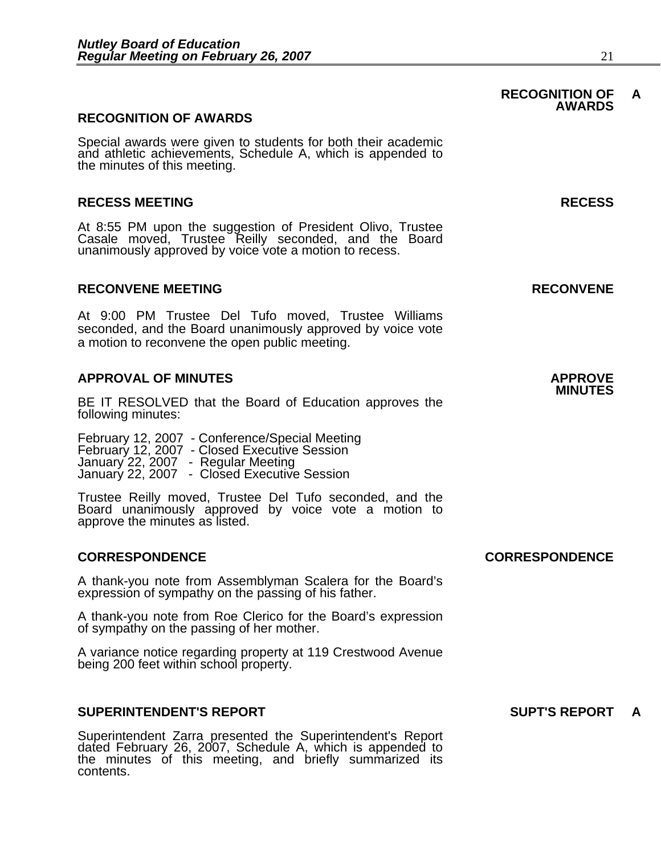## **RECOGNITION OF AWARDS**

Special awards were given to students for both their academic and athletic achievements, Schedule A, which is appended to the minutes of this meeting.

## **RECESS MEETING RECESS**

At 8:55 PM upon the suggestion of President Olivo, Trustee Casale moved, Trustee Reilly seconded, and the Board unanimously approved by voice vote a motion to recess.

### **RECONVENE MEETING RECONVENE**

At 9:00 PM Trustee Del Tufo moved, Trustee Williams seconded, and the Board unanimously approved by voice vote a motion to reconvene the open public meeting.

# **APPROVAL OF MINUTES APPROVE**

BE IT RESOLVED that the Board of Education approves the following minutes:

 February 12, 2007 - Conference/Special Meeting February 12, 2007 - Closed Executive Session January 22, 2007 - Regular Meeting January 22, 2007 - Closed Executive Session

Trustee Reilly moved, Trustee Del Tufo seconded, and the Board unanimously approved by voice vote a motion to approve the minutes as listed.

### **CORRESPONDENCE CORRESPONDENCE**

A thank-you note from Assemblyman Scalera for the Board's expression of sympathy on the passing of his father.

A thank-you note from Roe Clerico for the Board's expression of sympathy on the passing of her mother.

A variance notice regarding property at 119 Crestwood Avenue being 200 feet within school property.

## **SUPERINTENDENT'S REPORT SUPT'S REPORT A**

Superintendent Zarra presented the Superintendent's Report dated February 26, 2007, Schedule A, which is appended to the minutes of this meeting, and briefly summarized its contents.

### **RECOGNITION OF A AWARDS**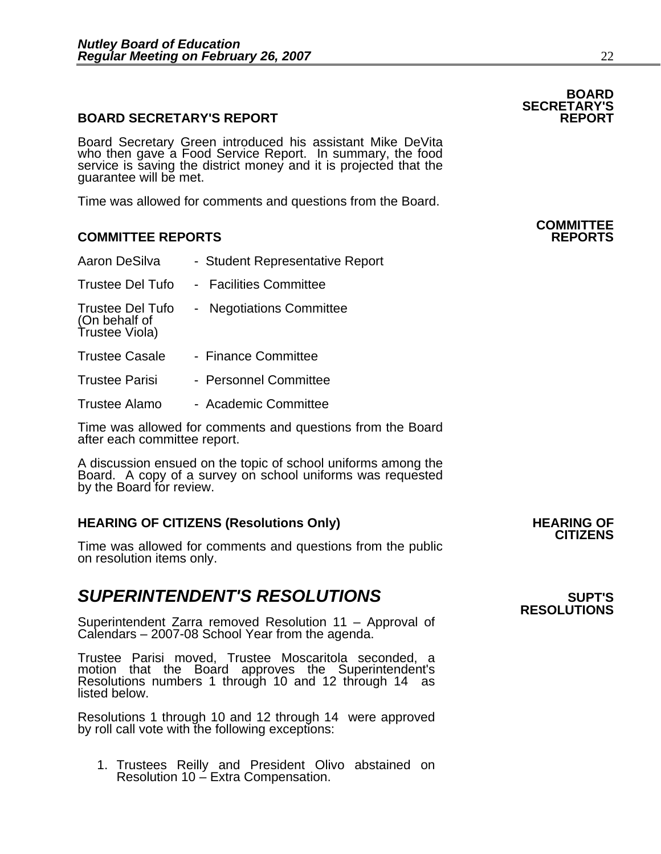# **BOARD SECRETARY'S REPORT**

Board Secretary Green introduced his assistant Mike DeVita who then gave a Food Service Report. In summary, the food service is saving the district money and it is projected that the guarantee will be met.

Time was allowed for comments and questions from the Board.

# **COMMITTEE REPORTS REPORTS**

| Aaron DeSilva                                              | - Student Representative Report |
|------------------------------------------------------------|---------------------------------|
| <b>Trustee Del Tufo</b>                                    | - Facilities Committee          |
| <b>Trustee Del Tufo</b><br>(On behalf of<br>Trustee Viola) | - Negotiations Committee        |
| <b>Trustee Casale</b>                                      | - Finance Committee             |
| <b>Trustee Parisi</b>                                      | - Personnel Committee           |

Trustee Alamo - Academic Committee

Time was allowed for comments and questions from the Board after each committee report.

A discussion ensued on the topic of school uniforms among the Board. A copy of a survey on school uniforms was requested by the Board for review.

# **HEARING OF CITIZENS (Resolutions Only) HEARING OF CITIZENS**

Time was allowed for comments and questions from the public on resolution items only.

# **SUPERINTENDENT'S RESOLUTIONS** *SUPERINTENDENT'S*

Superintendent Zarra removed Resolution 11 – Approval of Calendars – 2007-08 School Year from the agenda.

Trustee Parisi moved, Trustee Moscaritola seconded, a motion that the Board approves the Superintendent's Resolutions numbers 1 through 10 and 12 through 14 as listed below.

Resolutions 1 through 10 and 12 through 14 were approved by roll call vote with the following exceptions:

1. Trustees Reilly and President Olivo abstained on Resolution 10  $\stackrel{\sim}{\text{}}$  Extra Compensation.

# **BOARD SECRETARY'S**

# **COMMITTEE**

# **RESOLUTIONS**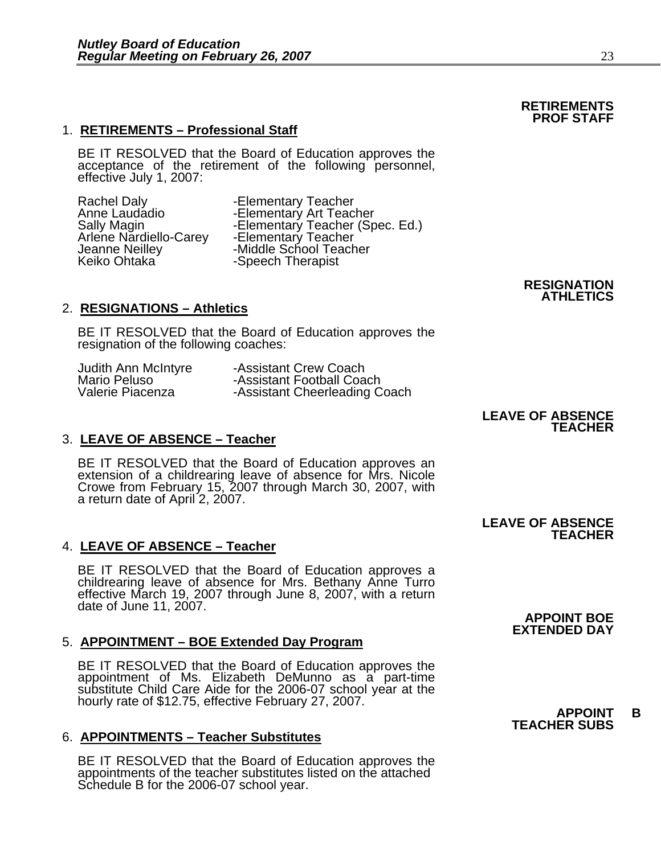BE IT RESOLVED that the Board of Education approves the acceptance of the retirement of the following personnel, effective July 1, 2007:

Rachel Daly -Elementary Teacher Arlene Nardiello-Carey<br>Jeanne Neilley

Anne Laudadio -Elementary Art Teacher<br>Sally Magin -Elementary Teacher (Sp -Elementary Teacher (Spec. Ed.)<br>-Elementary Teacher Jeanne Neilley **1998 -Middle School Teacher**<br>Keiko Ohtaka **-Speech Therapist** -Speech Therapist

# 2. **RESIGNATIONS – Athletics**

BE IT RESOLVED that the Board of Education approves the resignation of the following coaches:

| Judith Ann McIntyre | -Assistant Crew Coach         |
|---------------------|-------------------------------|
| Mario Peluso        | -Assistant Football Coach     |
| Valerie Piacenza    | -Assistant Cheerleading Coach |

# 3. **LEAVE OF ABSENCE – Teacher**

BE IT RESOLVED that the Board of Education approves an extension of a childrearing leave of absence for Mrs. Nicole Crowe from February 15, 2007 through March 30, 2007, with a return date of April 2, 2007.

# 4. **LEAVE OF ABSENCE – Teacher**

BE IT RESOLVED that the Board of Education approves a childrearing leave of absence for Mrs. Bethany Anne Turro effective March 19, 2007 through June 8, 2007, with a return date of June 11, 2007.

# 5. **APPOINTMENT – BOE Extended Day Program**

BE IT RESOLVED that the Board of Education approves the<br>appointment of Ms. Elizabeth DeMunno as a part-time<br>substitute Child Care Aide for the 2006-07 school year at the<br>hourly rate of \$12.75, effective February 27, 2007.<br>

# 6. **APPOINTMENTS – Teacher Substitutes**

BE IT RESOLVED that the Board of Education approves the appointments of the teacher substitutes listed on the attached Schedule B for the 2006-07 school year.

**TEACHER** 

**LEAVE OF ABSENCE** 

## **LEAVE OF ABSENCE TEACHER**

**APPOINT BOE EXTENDED DAY**

# **TEACHER SUBS**

### **RETIREMENTS PROF STAFF**

**RESIGNATION ATHLETICS**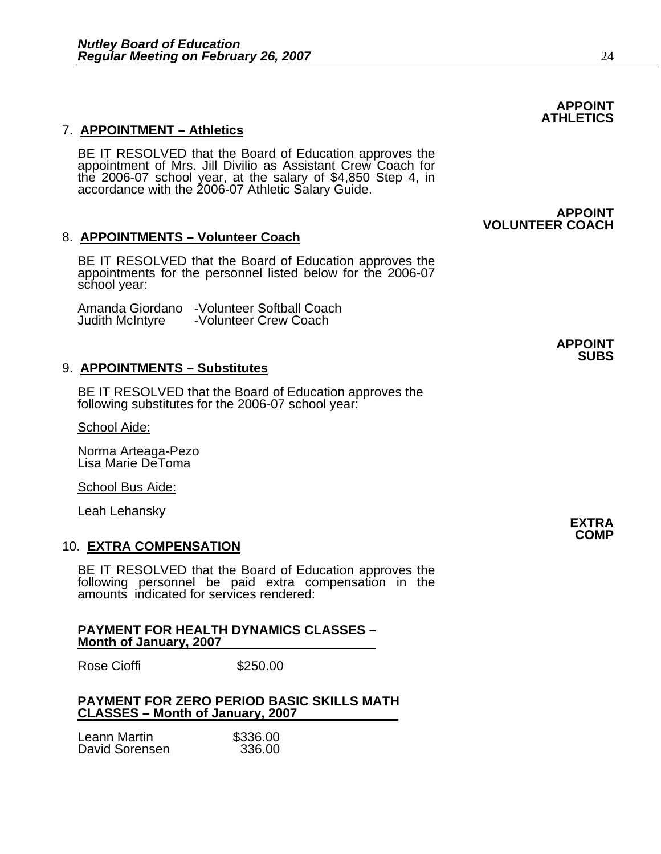# 7. **APPOINTMENT – Athletics**

BE IT RESOLVED that the Board of Education approves the appointment of Mrs. Jill Divilio as Assistant Crew Coach for the 2006-07 school year, at the salary of \$4,850 Step 4, in accordance with the 2006-07 Athletic Salary Guide.

# 8. **APPOINTMENTS – Volunteer Coach**

BE IT RESOLVED that the Board of Education approves the appointments for the personnel listed below for the 2006-07 school year:

Amanda Giordano -Volunteer Softball Coach -Volunteer Crew Coach

## 9. **APPOINTMENTS – Substitutes**

BE IT RESOLVED that the Board of Education approves the following substitutes for the 2006-07 school year:

School Aide:

Norma Arteaga-Pezo Lisa Marie DeToma

School Bus Aide:

Leah Lehansky **EXTRA** 

### 10. **EXTRA COMPENSATION**

BE IT RESOLVED that the Board of Education approves the following personnel be paid extra compensation in the amounts indicated for services rendered:

### **PAYMENT FOR HEALTH DYNAMICS CLASSES – Month of January, 2007**

Rose Cioffi **\$250.00** 

## **PAYMENT FOR ZERO PERIOD BASIC SKILLS MATH CLASSES – Month of January, 2007**

| Leann Martin   | \$336.00 |
|----------------|----------|
| David Sorensen | 336.00   |

**APPOINT** 

 **VOLUNTEER COACH**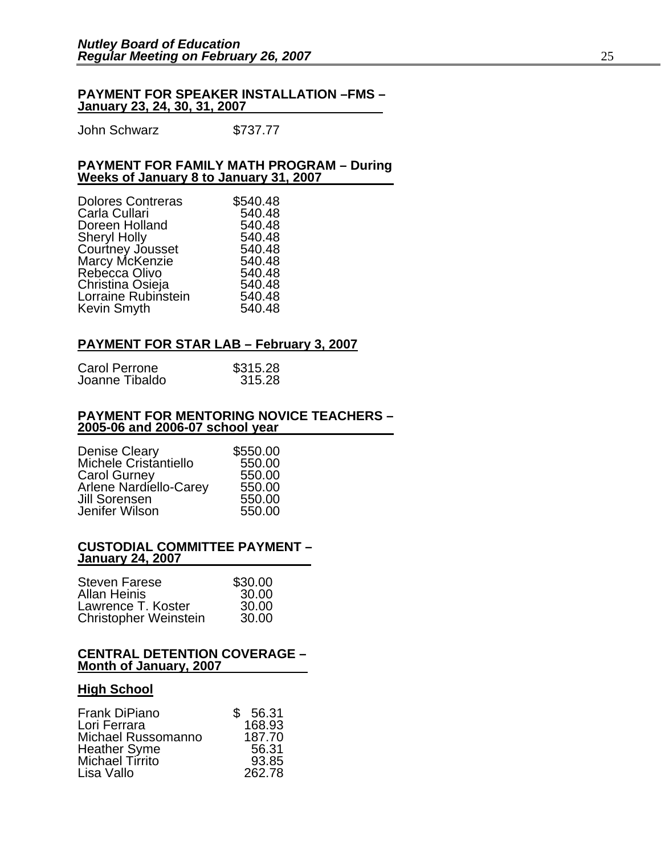### **PAYMENT FOR SPEAKER INSTALLATION –FMS – January 23, 24, 30, 31, 2007**

John Schwarz \$737.77

### **PAYMENT FOR FAMILY MATH PROGRAM – During Weeks of January 8 to January 31, 2007**

| <b>Dolores Contreras</b> | \$540.48 |
|--------------------------|----------|
| Carla Cullari            | 540.48   |
| Doreen Holland           | 540.48   |
| <b>Sheryl Holly</b>      | 540.48   |
| Courtney Jousset         | 540.48   |
| Marcy McKenzie           | 540.48   |
| Rebecca Olivo            | 540.48   |
| Christina Osieja         | 540.48   |
| Lorraine Rubinstein      | 540.48   |
| Kevin Smyth              | 540.48   |

# **PAYMENT FOR STAR LAB – February 3, 2007**

| Carol Perrone  | \$315.28 |
|----------------|----------|
| Joanne Tibaldo | 315.28   |

### **PAYMENT FOR MENTORING NOVICE TEACHERS – 2005-06 and 2006-07 school year**

| <b>Denise Cleary</b>          | \$550.00 |
|-------------------------------|----------|
| Michele Cristantiello         | 550.00   |
| <b>Carol Gurney</b>           | 550.00   |
| <b>Arlene Nardiello-Carey</b> | 550.00   |
| Jill Sorensen                 | 550.00   |
| Jenifer Wilson                | 550.00   |

### **CUSTODIAL COMMITTEE PAYMENT – January 24, 2007**

| <b>Steven Farese</b>         | \$30.00 |
|------------------------------|---------|
| <b>Allan Heinis</b>          | 30.00   |
| Lawrence T. Koster           | 30.00   |
| <b>Christopher Weinstein</b> | 30.00   |

### **CENTRAL DETENTION COVERAGE – Month of January, 2007**

## **High School**

| <b>Frank DiPiano</b> | \$ 56.31 |
|----------------------|----------|
| Lori Ferrara         | 168.93   |
| Michael Russomanno   | 187.70   |
| <b>Heather Syme</b>  | 56.31    |
| Michael Tirrito      | 93.85    |
| Lisa Vallo           | 262.78   |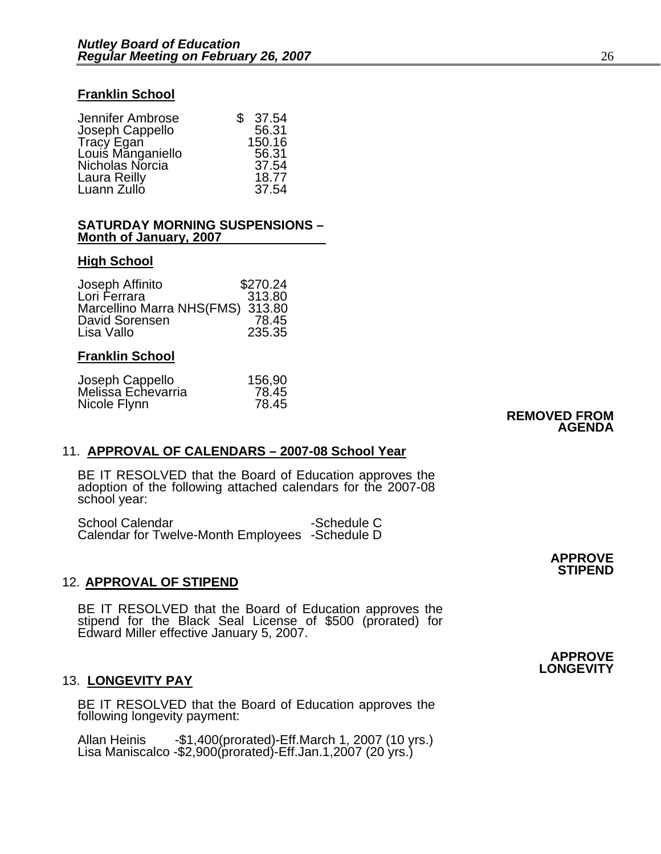## **Franklin School**

| Jennifer Ambrose  | \$37.54 |
|-------------------|---------|
| Joseph Cappello   | 56.31   |
| <b>Tracy Egan</b> | 150.16  |
| Louis Manganiello | 56.31   |
| Nicholas Norcia   | 37.54   |
| Laura Reilly      | 18.77   |
| Luann Zullo       | 37.54   |

### **SATURDAY MORNING SUSPENSIONS – Month of January, 2007**

### **High School**

| Joseph Affinito                  | \$270.24 |
|----------------------------------|----------|
| Lori Ferrara                     | 313.80   |
| Marcellino Marra NHS(FMS) 313.80 |          |
| David Sorensen                   | 78.45    |
| Lisa Vallo                       | 235.35   |

## **Franklin School**

| Joseph Cappello    | 156,90 |                     |
|--------------------|--------|---------------------|
| Melissa Echevarria | 78.45  |                     |
| Nicole Flynn       | 78.45  |                     |
|                    |        | <b>REMOVED FROM</b> |

**AGENDA** 

# 11. **APPROVAL OF CALENDARS – 2007-08 School Year**

BE IT RESOLVED that the Board of Education approves the adoption of the following attached calendars for the 2007-08 school year:

School Calendar **-Schedule C** Calendar for Twelve-Month Employees -Schedule D

# 12. **APPROVAL OF STIPEND**

BE IT RESOLVED that the Board of Education approves the stipend for the Black Seal License of \$500 (prorated) for Edward Miller effective January 5, 2007.

# 13. **LONGEVITY PAY**

BE IT RESOLVED that the Board of Education approves the following longevity payment:

Allan Heinis -\$1,400(prorated)-Eff.March 1, 2007 (10 yrs.) Lisa Maniscalco -\$2,900(prorated)-Eff.Jan.1,2007 (20 yrs.)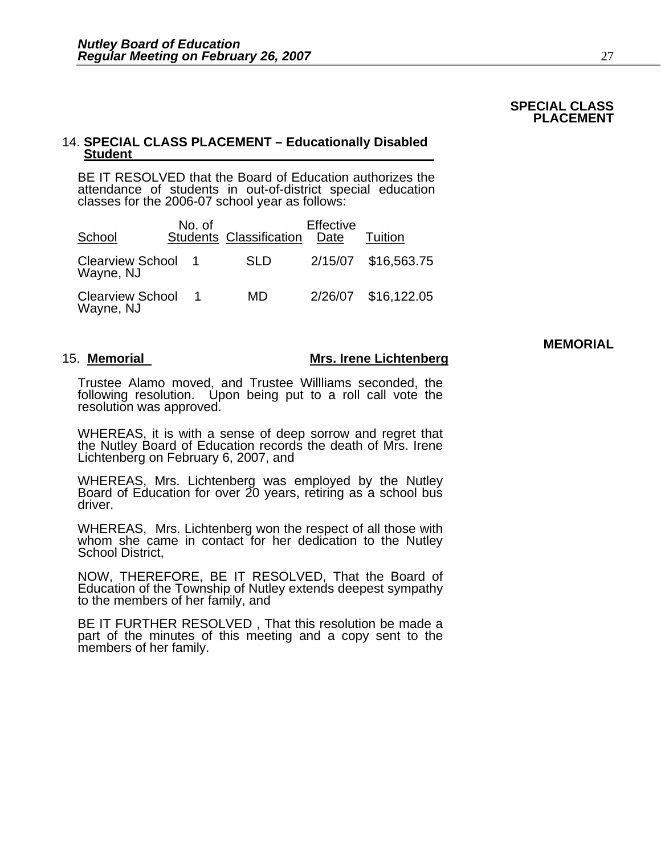### **SPECIAL CLASS PLACEMENT**

# 14. **SPECIAL CLASS PLACEMENT – Educationally Disabled Student**

BE IT RESOLVED that the Board of Education authorizes the attendance of students in out-of-district special education classes for the 2006-07 school year as follows:

| School                               | No. of | <b>Students Classification</b> | Effective<br>Date | Tuition             |
|--------------------------------------|--------|--------------------------------|-------------------|---------------------|
| Clearview School 1<br>Wayne, NJ      |        | <b>SLD</b>                     |                   | 2/15/07 \$16,563.75 |
| <b>Clearview School</b><br>Wayne, NJ |        | MD                             |                   | 2/26/07 \$16,122.05 |

### 15. **Memorial Mrs. Irene Lichtenberg**

Trustee Alamo moved, and Trustee Willliams seconded, the following resolution. Upon being put to a roll call vote the resolution was approved.

WHEREAS, it is with a sense of deep sorrow and regret that the Nutley Board of Education records the death of Mrs. Irene Lichtenberg on February 6, 2007, and

WHEREAS, Mrs. Lichtenberg was employed by the Nutley Board of Education for over 20 years, retiring as a school bus driver.

WHEREAS, Mrs. Lichtenberg won the respect of all those with whom she came in contact for her dedication to the Nutley School District,

NOW, THEREFORE, BE IT RESOLVED, That the Board of Education of the Township of Nutley extends deepest sympathy to the members of her family, and

BE IT FURTHER RESOLVED , That this resolution be made a part of the minutes of this meeting and a copy sent to the members of her family.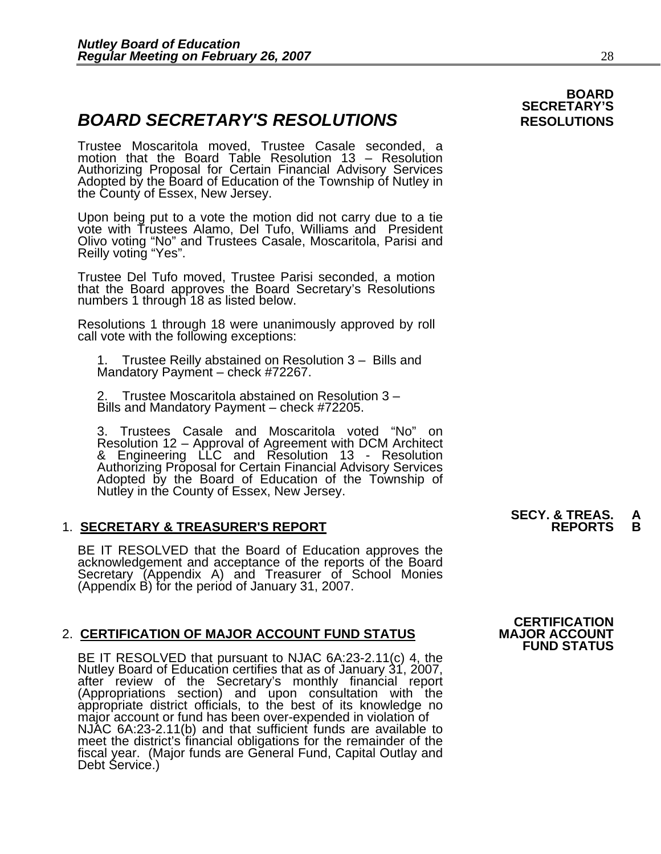# **BOARD SECRETARY'S RESOLUTIONS** RESOLUTIONS

Trustee Moscaritola moved, Trustee Casale seconded, a motion that the Board Table Resolution 13 – Resolution Authorizing Proposal for Certain Financial Advisory Services<br>Adopted by the Board of Education of the Township of Nutley in<br>the County of Essex, New Jersey.

Upon being put to a vote the motion did not carry due to a tie vote with Trustees Alamo, Del Tufo, Williams and President Olivo voting "No" and Trustees Casale, Moscaritola, Parisi and Reilly voting "Yes".

Trustee Del Tufo moved, Trustee Parisi seconded, a motion that the Board approves the Board Secretary's Resolutions numbers 1 through 18 as listed below.

Resolutions 1 through 18 were unanimously approved by roll call vote with the following exceptions:

1. Trustee Reilly abstained on Resolution 3 – Bills and Mandatory Payment – check #72267.

2. Trustee Moscaritola abstained on Resolution 3 – Bills and Mandatory Payment – check #72205.

3. Trustees Casale and Moscaritola voted "No" on Resolution 12 – Approval of Agreement with DCM Architect & Engineering LLC and Resolution 13 - Resolution Authorizing Proposal for Certain Financial Advisory Services<br>Adopted by the Board of Education of the Township of<br>Nutley in the County of Essex, New Jersey.

# 1. **SECRETARY & TREASURER'S REPORT**

BE IT RESOLVED that the Board of Education approves the<br>acknowledgement and acceptance of the reports of the Board<br>Secretary (Appendix A) and Treasurer of School Monies (Appendix B) for the period of January 31, 2007.

# 2. CERTIFICATION OF MAJOR ACCOUNT FUND STATUS

BE IT RESOLVED that pursuant to NJAC 6A:23-2.11(c) 4, the<br>Nutley Board of Education certifies that as of January 31, 2007,<br>after review of the Secretary's monthly financial report<br>(Appropriations section) and upon consulta meet the district's financial obligations for the remainder of the fiscal year. (Major funds are General Fund, Capital Outlay and Debt Service.)

# **SECY. & TREAS. A**

# **BOARD SECRETARY'S**

# **CERTIFICATION**

**FUND STATUS**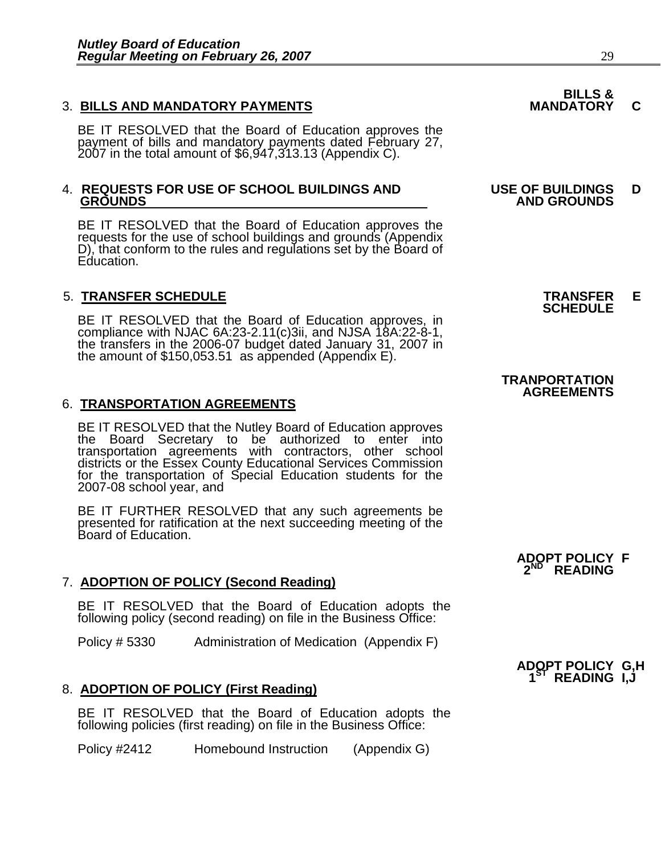# 3. BILLS AND MANDATORY PAYMENTS **MANDATORY C**

BE IT RESOLVED that the Board of Education approves the payment of bills and mandatory payments dated February 27, 2007 in the total amount of \$6,947,313.13 (Appendix C).

# 4. **REQUESTS FOR USE OF SCHOOL BUILDINGS AND USE OF BUILDINGS D**

BE IT RESOLVED that the Board of Education approves the requests for the use of school buildings and grounds (Appendix D), that conform to the rules and regulations set by the Board of Education.

# 5. **TRANSFER SCHEDULE TRANSFER E SCHEDULE**

BE IT RESOLVED that the Board of Education approves, in compliance with NJAC 6A:23-2.11(c)3ii, and NJSA 18A:22-8-1, the transfers in the 2006-07 budget dated January 31, 2007 in the amount of \$150,053.51 as appended (Appen

# 6. **TRANSPORTATION AGREEMENTS**

BE IT RESOLVED that the Nutley Board of Education approves<br>the Board Secretary to be authorized to enter into transportation agreements with contractors, other school districts or the Essex County Educational Services Commission for the transportation of Special Education students for the 2007-08 school year, and

BE IT FURTHER RESOLVED that any such agreements be presented for ratification at the next succeeding meeting of the Board of Education.

# 7. **ADOPTION OF POLICY (Second Reading)**

BE IT RESOLVED that the Board of Education adopts the following policy (second reading) on file in the Business Office:

Policy # 5330 Administration of Medication (Appendix F)

# 8. **ADOPTION OF POLICY (First Reading)**

BE IT RESOLVED that the Board of Education adopts the following policies (first reading) on file in the Business Office:

Policy #2412 Homebound Instruction (Appendix G)

# **BILLS &**

# **GROUNDS AND GROUNDS**

## **TRANPORTATION AGREEMENTS**

# **ADOPT POLICY F**  2<sup>ND</sup> READING

# **ADOPT POLICY G,H 1ST READING I,J**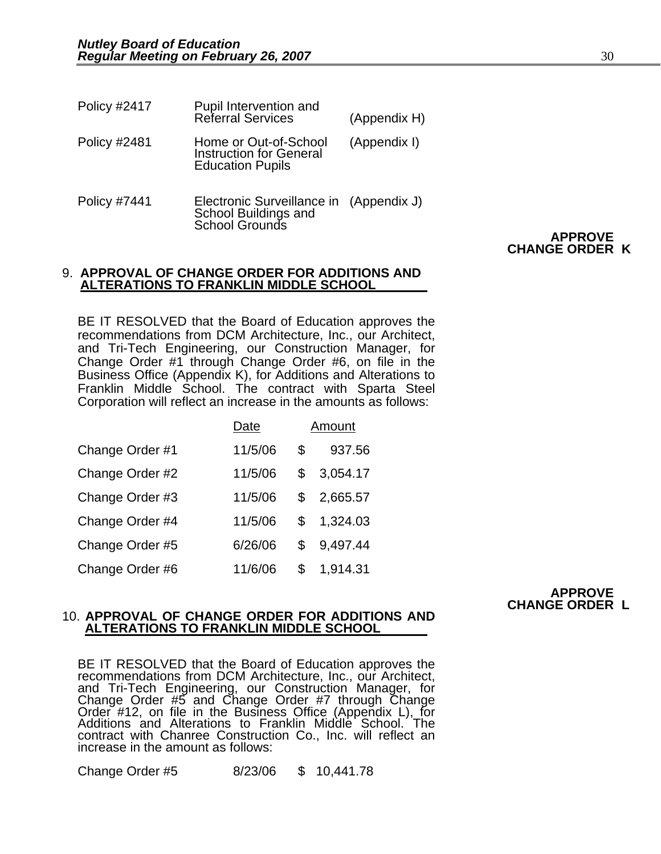| <b>Policy #2417</b> | <b>Pupil Intervention and<br/>Referral Services</b>                                | (Appendix H) |
|---------------------|------------------------------------------------------------------------------------|--------------|
| <b>Policy #2481</b> | Home or Out-of-School<br><b>Instruction for General</b><br><b>Education Pupils</b> | (Appendix I) |
| Policy #7441        | Electronic Surveillance in<br>School Buildings and<br>School Grounds               | (Appendix J) |

# **APPROVE CHANGE ORDER K**

### 9. **APPROVAL OF CHANGE ORDER FOR ADDITIONS AND ALTERATIONS TO FRANKLIN MIDDLE SCHOOL**

BE IT RESOLVED that the Board of Education approves the recommendations from DCM Architecture, Inc., our Architect, and Tri-Tech Engineering, our Construction Manager, for Change Order #1 through Change Order #6, on file in the Business Office (Appendix K), for Additions and Alterations to Franklin Middle School. The contract with Sparta Steel Corporation will reflect an increase in the amounts as follows:

|                 | Date    | Amount         |
|-----------------|---------|----------------|
| Change Order #1 | 11/5/06 | \$<br>937.56   |
| Change Order #2 | 11/5/06 | \$<br>3,054.17 |
| Change Order #3 | 11/5/06 | \$<br>2,665.57 |
| Change Order #4 | 11/5/06 | \$<br>1,324.03 |
| Change Order #5 | 6/26/06 | \$<br>9,497.44 |
| Change Order #6 | 11/6/06 | \$<br>1,914.31 |

# **APPROVE CHANGE ORDER L**

### 10. **APPROVAL OF CHANGE ORDER FOR ADDITIONS AND ALTERATIONS TO FRANKLIN MIDDLE SCHOOL**

BE IT RESOLVED that the Board of Education approves the recommendations from DCM Architecture, Inc., our Architect, and Tri-Tech Engineering, our Construction Manager, for<br>Change Order #5 and Change Order #7 through Change<br>Order #12, on file in the Business Office (Appendix L), for<br>Additions and Alterations to Franklin Middle School. Th contract with Chanree Construction Co., Inc. will reflect an increase in the amount as follows:

Change Order #5 8/23/06 \$ 10,441.78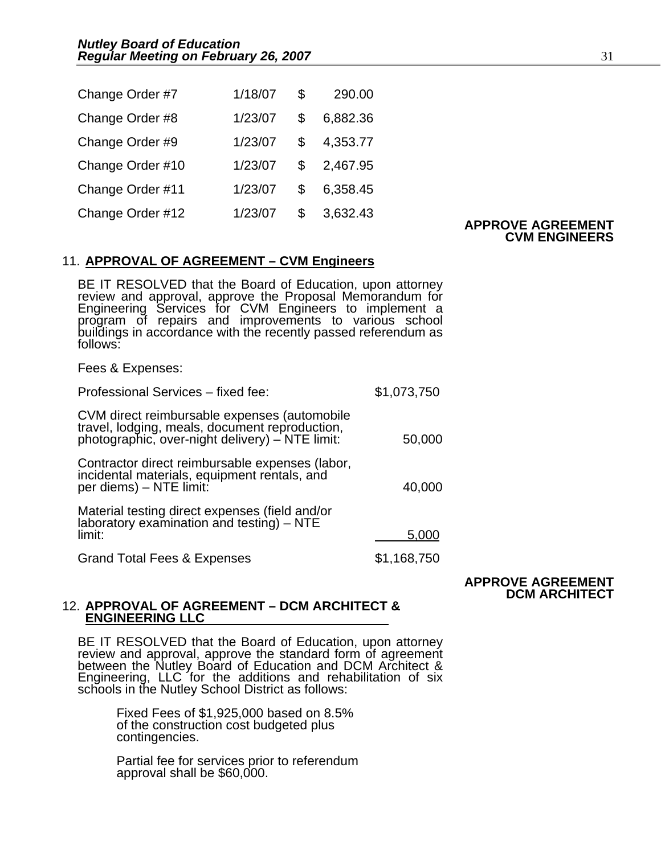| Change Order #7  | 1/18/07 | $^{\circ}$   | 290.00     |
|------------------|---------|--------------|------------|
| Change Order #8  | 1/23/07 | \$           | 6,882.36   |
| Change Order #9  | 1/23/07 | $\mathbb{S}$ | 4,353.77   |
| Change Order #10 | 1/23/07 |              | \$2,467.95 |
| Change Order #11 | 1/23/07 | $^{\circ}$   | 6,358.45   |
| Change Order #12 | 1/23/07 | $\mathbb{S}$ | 3,632.43   |

### **APPROVE AGREEMENT CVM ENGINEERS**

## 11. **APPROVAL OF AGREEMENT – CVM Engineers**

BE IT RESOLVED that the Board of Education, upon attorney review and approval, approve the Proposal Memorandum for Engineering Services for CVM Engineers to implement a program of repairs and improvements to various school buildings in accordance with the recently passed referendum as<br>follows:

Fees & Expenses:

| Professional Services - fixed fee:                                                                                                                | \$1,073,750 |
|---------------------------------------------------------------------------------------------------------------------------------------------------|-------------|
| CVM direct reimbursable expenses (automobile<br>travel, lodging, meals, document reproduction,<br>photographic, over-night delivery) - NTE limit: | 50,000      |
| Contractor direct reimbursable expenses (labor,<br>incidental materials, equipment rentals, and<br>per diems) - NTE limit:                        | 40,000      |
| Material testing direct expenses (field and/or<br>laboratory examination and testing) – NTE<br>limit:                                             | 5,000       |
| <b>Grand Total Fees &amp; Expenses</b>                                                                                                            | \$1,168,750 |
|                                                                                                                                                   |             |

### **APPROVE AGREEMENT DCM ARCHITECT**

### 12. **APPROVAL OF AGREEMENT – DCM ARCHITECT & ENGINEERING LLC**

BE IT RESOLVED that the Board of Education, upon attorney review and approval, approve the standard form of agreement<br>between the Nutley Board of Education and DCM Architect & Engineering, LLC for the additions and rehabilitation of six schools in the Nutley School District as follows:

> Fixed Fees of \$1,925,000 based on 8.5% of the construction cost budgeted plus contingencies.

Partial fee for services prior to referendum approval shall be \$60,000.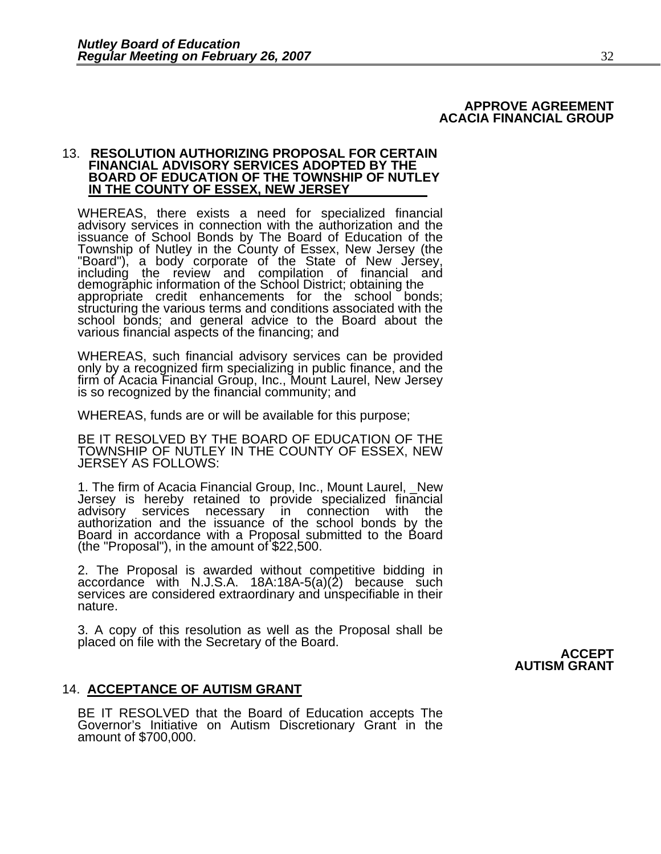### **APPROVE AGREEMENT ACACIA FINANCIAL GROUP**

### 13. **RESOLUTION AUTHORIZING PROPOSAL FOR CERTAIN FINANCIAL ADVISORY SERVICES ADOPTED BY THE BOARD OF EDUCATION OF THE TOWNSHIP OF NUTLEY IN THE COUNTY OF ESSEX, NEW JERSEY**

WHEREAS, there exists a need for specialized financial advisory services in connection with the authorization and the issuance of School Bonds by The Board of Education of the Township of Nutley in the County of Essex, New Jersey (the "Board"), a body corporate of the State of New Jersey,<br>including the review and compilation of financial and<br>demographic information of the School District; obtain appropriate credit enhancements for the school bonds; structuring the various terms and conditions associated with the school bonds; and general advice to the Board about the various financial aspects of the financing; and

WHEREAS, such financial advisory services can be provided only by a recognized firm specializing in public finance, and the firm of Acacia Financial Group, Inc., Mount Laurel, New Jersey is so recognized by the financial community; and

WHEREAS, funds are or will be available for this purpose;

BE IT RESOLVED BY THE BOARD OF EDUCATION OF THE TOWNSHIP OF NUTLEY IN THE COUNTY OF ESSEX, NEW JERSEY AS FOLLOWS:

1. The firm of Acacia Financial Group, Inc., Mount Laurel, \_New Jersey is hereby retained to provide specialized financial advisory services necessary in connection with the authorization and the issuance of the school bon Board in accordance with a Proposal submitted to the Board (the "Proposal"), in the amount of \$22,500.

2. The Proposal is awarded without competitive bidding in accordance with N.J.S.A. 18A:18A-5(a)(2) because such services are considered extraordinary and unspecifiable in their nature.

3. A copy of this resolution as well as the Proposal shall be placed on file with the Secretary of the Board. **ACCEPT** 

**AUTISM GRANT** 

## 14. **ACCEPTANCE OF AUTISM GRANT**

BE IT RESOLVED that the Board of Education accepts The<br>Governor's Initiative on Autism Discretionary Grant in the<br>amount of \$700,000.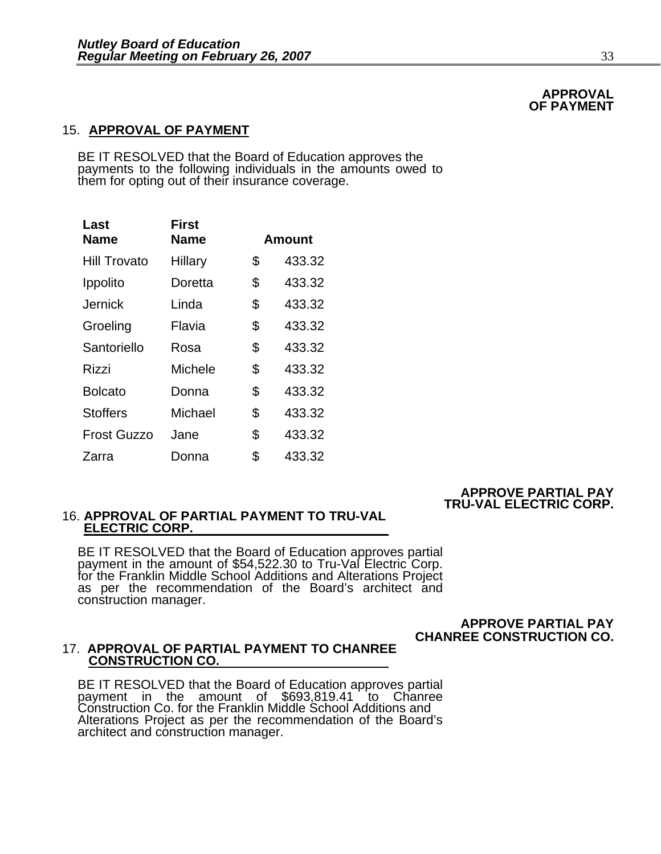# 15. **APPROVAL OF PAYMENT**

BE IT RESOLVED that the Board of Education approves the payments to the following individuals in the amounts owed to them for opting out of their insurance coverage.

| Last                | First       |               |  |  |
|---------------------|-------------|---------------|--|--|
| <b>Name</b>         | <b>Name</b> | <b>Amount</b> |  |  |
| <b>Hill Trovato</b> | Hillary     | \$<br>433.32  |  |  |
| Ippolito            | Doretta     | \$<br>433.32  |  |  |
| Jernick             | Linda       | \$<br>433.32  |  |  |
| Groeling            | Flavia      | \$<br>433.32  |  |  |
| Santoriello         | Rosa        | \$<br>433.32  |  |  |
| Rizzi               | Michele     | \$<br>433.32  |  |  |
| <b>Bolcato</b>      | Donna       | \$<br>433.32  |  |  |
| <b>Stoffers</b>     | Michael     | \$<br>433.32  |  |  |
| <b>Frost Guzzo</b>  | Jane        | \$<br>433.32  |  |  |
| Zarra               | Donna       | \$<br>433.32  |  |  |

### **APPROVE PARTIAL PAY TRU-VAL ELECTRIC CORP.**

# 16. **APPROVAL OF PARTIAL PAYMENT TO TRU-VAL ELECTRIC CORP.**

BE IT RESOLVED that the Board of Education approves partial payment in the amount of \$54,522.30 to Tru-Val Electric Corp. for the Franklin Middle School Additions and Alterations Project as per the recommendation of the Board's architect and construction manager.

# **APPROVE PARTIAL PAY CHANREE CONSTRUCTION CO.**

## 17. **APPROVAL OF PARTIAL PAYMENT TO CHANREE CONSTRUCTION CO.**

BE IT RESOLVED that the Board of Education approves partial payment in the amount of \$693,819.41 to Chanree Construction Co. for the Franklin Middle School Additions and Alterations Project as per the recommendation of the Board's architect and construction manager.

### **APPROVAL OF PAYMENT**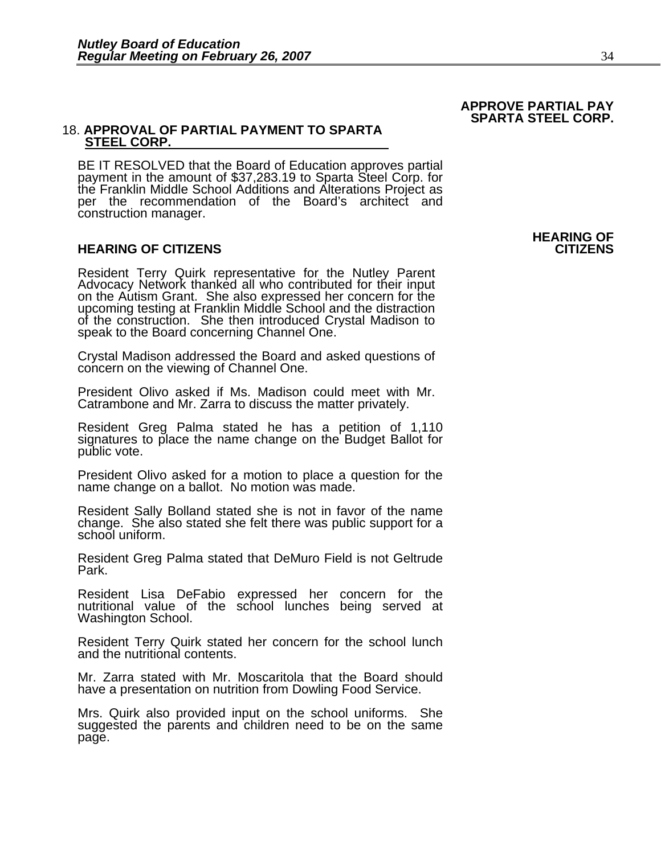## 18. **APPROVAL OF PARTIAL PAYMENT TO SPARTA STEEL CORP.**

BE IT RESOLVED that the Board of Education approves partial payment in the amount of \$37,283.19 to Sparta Steel Corp. for the Franklin Middle School Additions and Alterations Project as per the recommendation of the Board's architect and construction manager.

## **HEARING OF CITIZENS CITIZENS**

Resident Terry Quirk representative for the Nutley Parent<br>Advocacy Network thanked all who contributed for their input<br>on the Autism Grant. She also expressed her concern for the<br>upcoming testing at Franklin Middle School of the construction. She then introduced Crystal Madison to speak to the Board concerning Channel One.

Crystal Madison addressed the Board and asked questions of concern on the viewing of Channel One.

President Olivo asked if Ms. Madison could meet with Mr. Catrambone and Mr. Zarra to discuss the matter privately.

Resident Greg Palma stated he has a petition of 1,110 signatures to place the name change on the Budget Ballot for public vote.

President Olivo asked for a motion to place a question for the name change on a ballot. No motion was made.

Resident Sally Bolland stated she is not in favor of the name change. She also stated she felt there was public support for a school uniform.

Resident Greg Palma stated that DeMuro Field is not Geltrude Park.

Resident Lisa DeFabio expressed her concern for the nutritional value of the school lunches being served at Washington School.

Resident Terry Quirk stated her concern for the school lunch and the nutritional contents.

Mr. Zarra stated with Mr. Moscaritola that the Board should have a presentation on nutrition from Dowling Food Service.

Mrs. Quirk also provided input on the school uniforms. She suggested the parents and children need to be on the same page.

**HEARING OF** 

## **APPROVE PARTIAL PAY SPARTA STEEL CORP.**